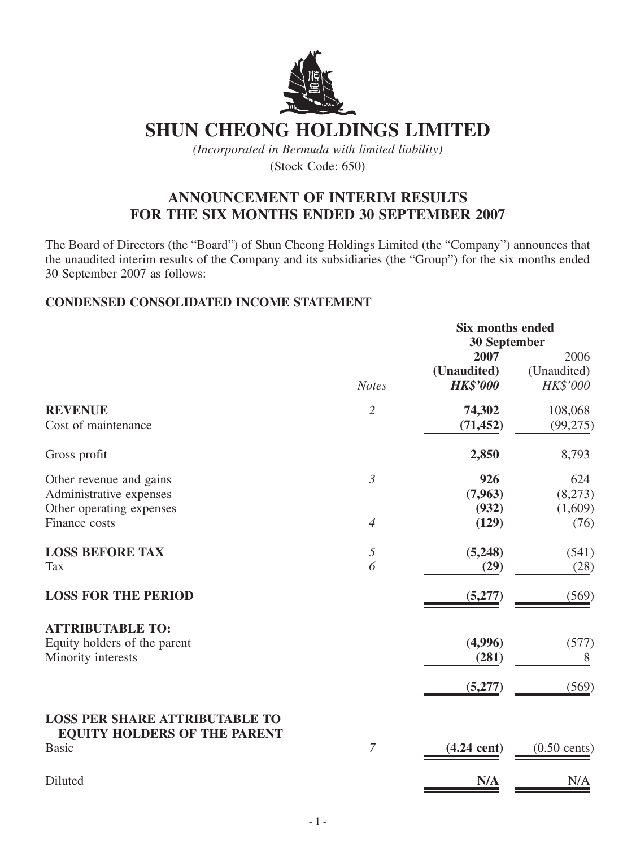

# **Shun Cheong Holdings Limited**

*(Incorporated in Bermuda with limited liability)* (Stock Code: 650)

## **ANNOUNCEMENT OF INTERIM RESULTS FOR THE SIX MONTHS ENDED 30 SEPTEMBER 2007**

The Board of Directors (the "Board") of Shun Cheong Holdings Limited (the "Company") announces that the unaudited interim results of the Company and its subsidiaries (the "Group") for the six months ended 30 September 2007 as follows:

### **CONDENSED CONSOLIDATED INCOME STATEMENT**

|                                                                                                 |                                  | Six months ended<br><b>30 September</b> |                                   |
|-------------------------------------------------------------------------------------------------|----------------------------------|-----------------------------------------|-----------------------------------|
|                                                                                                 | <b>Notes</b>                     | 2007<br>(Unaudited)<br><b>HK\$'000</b>  | 2006<br>(Unaudited)<br>HK\$'000   |
| <b>REVENUE</b><br>Cost of maintenance                                                           | $\overline{2}$                   | 74,302<br>(71, 452)                     | 108,068<br>(99, 275)              |
| Gross profit                                                                                    |                                  | 2,850                                   | 8,793                             |
| Other revenue and gains<br>Administrative expenses<br>Other operating expenses<br>Finance costs | $\mathfrak{Z}$<br>$\overline{4}$ | 926<br>(7, 963)<br>(932)<br>(129)       | 624<br>(8,273)<br>(1,609)<br>(76) |
| <b>LOSS BEFORE TAX</b><br><b>Tax</b>                                                            | $\sqrt{2}$<br>6                  | (5,248)<br>(29)                         | (541)<br>(28)                     |
| <b>LOSS FOR THE PERIOD</b>                                                                      |                                  | (5,277)                                 | (569)                             |
| <b>ATTRIBUTABLE TO:</b><br>Equity holders of the parent<br>Minority interests                   |                                  | (4,996)<br>(281)<br>(5,277)             | (577)<br>8<br>(569)               |
| <b>LOSS PER SHARE ATTRIBUTABLE TO</b><br><b>EQUITY HOLDERS OF THE PARENT</b><br><b>Basic</b>    | $\overline{7}$                   | $(4.24$ cent)                           | $(0.50 \text{ cents})$            |
| Diluted                                                                                         |                                  | N/A                                     | N/A                               |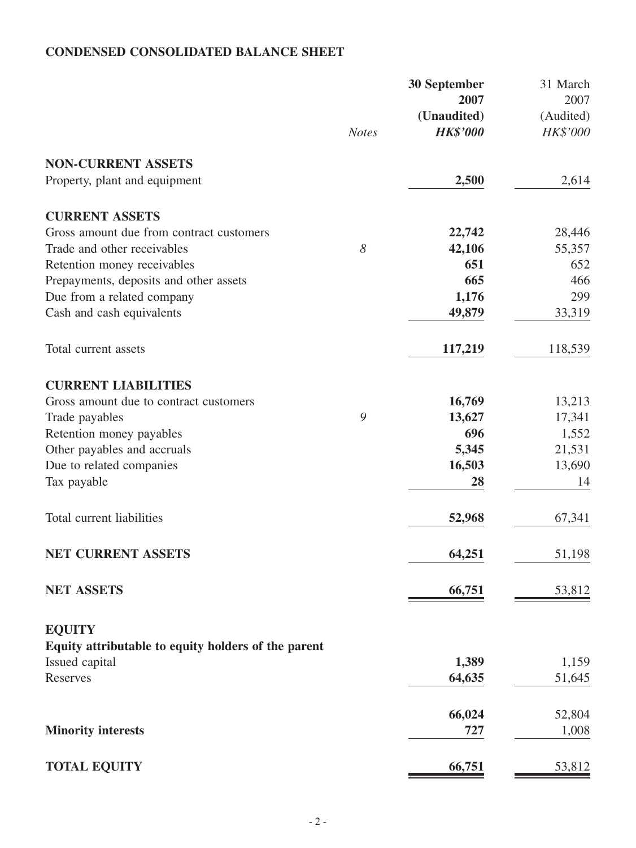## **CONDENSED CONSOLIDATED BALANCE SHEET**

|                                                     |                       | <b>30 September</b> | 31 March  |
|-----------------------------------------------------|-----------------------|---------------------|-----------|
|                                                     |                       | 2007                | 2007      |
|                                                     |                       | (Unaudited)         | (Audited) |
|                                                     | <b>Notes</b>          | <b>HK\$'000</b>     | HK\$'000  |
| <b>NON-CURRENT ASSETS</b>                           |                       |                     |           |
| Property, plant and equipment                       |                       | 2,500               | 2,614     |
| <b>CURRENT ASSETS</b>                               |                       |                     |           |
| Gross amount due from contract customers            |                       | 22,742              | 28,446    |
| Trade and other receivables                         | $\boldsymbol{\delta}$ | 42,106              | 55,357    |
| Retention money receivables                         |                       | 651                 | 652       |
| Prepayments, deposits and other assets              |                       | 665                 | 466       |
| Due from a related company                          |                       | 1,176               | 299       |
| Cash and cash equivalents                           |                       | 49,879              | 33,319    |
| Total current assets                                |                       | 117,219             | 118,539   |
| <b>CURRENT LIABILITIES</b>                          |                       |                     |           |
| Gross amount due to contract customers              |                       | 16,769              | 13,213    |
| Trade payables                                      | 9                     | 13,627              | 17,341    |
| Retention money payables                            |                       | 696                 | 1,552     |
| Other payables and accruals                         |                       | 5,345               | 21,531    |
| Due to related companies                            |                       | 16,503              | 13,690    |
| Tax payable                                         |                       | 28                  | 14        |
| Total current liabilities                           |                       | 52,968              | 67,341    |
| NET CURRENT ASSETS                                  |                       | 64,251              | 51,198    |
| <b>NET ASSETS</b>                                   |                       | 66,751              | 53,812    |
| <b>EQUITY</b>                                       |                       |                     |           |
| Equity attributable to equity holders of the parent |                       |                     |           |
| Issued capital                                      |                       | 1,389               | 1,159     |
| Reserves                                            |                       | 64,635              | 51,645    |
|                                                     |                       | 66,024              | 52,804    |
| <b>Minority interests</b>                           |                       | 727                 | 1,008     |
| <b>TOTAL EQUITY</b>                                 |                       | 66,751              | 53,812    |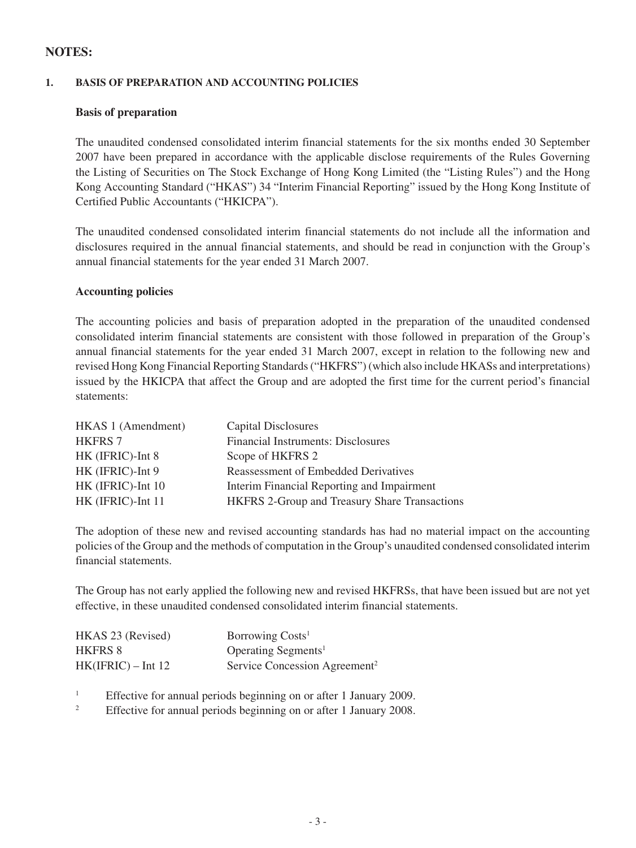### **NOTES:**

#### **1. BASIS OF PREPARATION AND ACCOUNTING POLICIES**

#### **Basis of preparation**

The unaudited condensed consolidated interim financial statements for the six months ended 30 September 2007 have been prepared in accordance with the applicable disclose requirements of the Rules Governing the Listing of Securities on The Stock Exchange of Hong Kong Limited (the "Listing Rules") and the Hong Kong Accounting Standard ("HKAS") 34 "Interim Financial Reporting" issued by the Hong Kong Institute of Certified Public Accountants ("HKICPA").

The unaudited condensed consolidated interim financial statements do not include all the information and disclosures required in the annual financial statements, and should be read in conjunction with the Group's annual financial statements for the year ended 31 March 2007.

#### **Accounting policies**

The accounting policies and basis of preparation adopted in the preparation of the unaudited condensed consolidated interim financial statements are consistent with those followed in preparation of the Group's annual financial statements for the year ended 31 March 2007, except in relation to the following new and revised Hong Kong Financial Reporting Standards ("HKFRS") (which also include HKASs and interpretations) issued by the HKICPA that affect the Group and are adopted the first time for the current period's financial statements:

| HKAS 1 (Amendment) | Capital Disclosures                           |
|--------------------|-----------------------------------------------|
| <b>HKFRS 7</b>     | <b>Financial Instruments: Disclosures</b>     |
| HK (IFRIC)-Int 8   | Scope of HKFRS 2                              |
| HK (IFRIC)-Int 9   | Reassessment of Embedded Derivatives          |
| HK (IFRIC)-Int 10  | Interim Financial Reporting and Impairment    |
| HK (IFRIC)-Int 11  | HKFRS 2-Group and Treasury Share Transactions |

The adoption of these new and revised accounting standards has had no material impact on the accounting policies of the Group and the methods of computation in the Group's unaudited condensed consolidated interim financial statements.

The Group has not early applied the following new and revised HKFRSs, that have been issued but are not yet effective, in these unaudited condensed consolidated interim financial statements.

| HKAS 23 (Revised)    | Borrowing Costs <sup>1</sup>              |
|----------------------|-------------------------------------------|
| HKFRS 8              | Operating Segments <sup>1</sup>           |
| $HK(IFRIC) - Int 12$ | Service Concession Agreement <sup>2</sup> |

- <sup>1</sup> Effective for annual periods beginning on or after 1 January 2009.
- <sup>2</sup> Effective for annual periods beginning on or after 1 January 2008.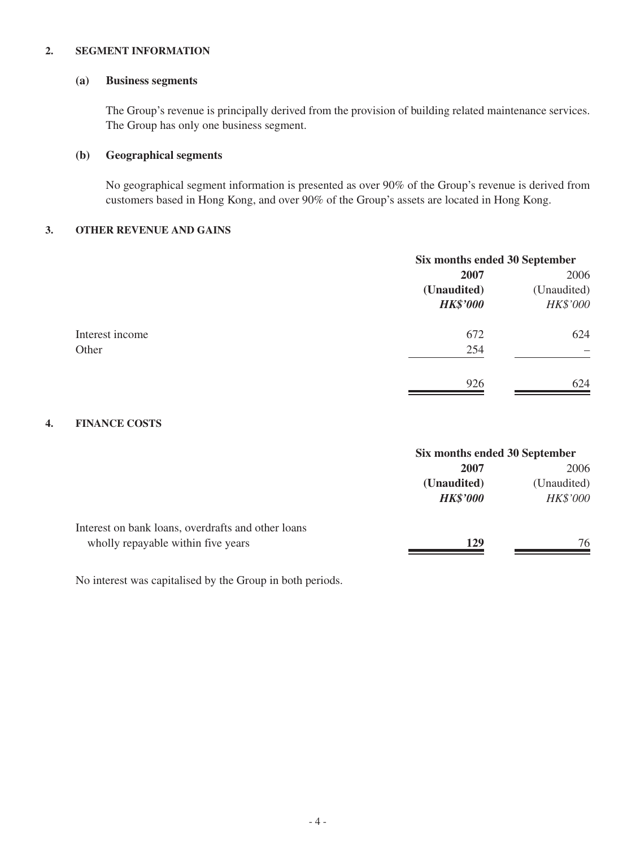#### **2. SEGMENT INFORMATION**

#### **(a) Business segments**

The Group's revenue is principally derived from the provision of building related maintenance services. The Group has only one business segment.

#### **(b) Geographical segments**

No geographical segment information is presented as over 90% of the Group's revenue is derived from customers based in Hong Kong, and over 90% of the Group's assets are located in Hong Kong.

#### **3. OTHER REVENUE AND GAINS**

| Six months ended 30 September |             |
|-------------------------------|-------------|
| 2007                          | 2006        |
| (Unaudited)                   | (Unaudited) |
| <b>HK\$'000</b>               | HK\$'000    |
| 672                           | 624         |
| 254                           |             |
| 926                           | 624         |
|                               |             |

#### **4. FINANCE COSTS**

|                                                                                          | Six months ended 30 September  |                         |
|------------------------------------------------------------------------------------------|--------------------------------|-------------------------|
|                                                                                          | 2007                           | 2006                    |
|                                                                                          | (Unaudited)<br><b>HK\$'000</b> | (Unaudited)<br>HK\$'000 |
| Interest on bank loans, overdrafts and other loans<br>wholly repayable within five years | 129                            | 76                      |

No interest was capitalised by the Group in both periods.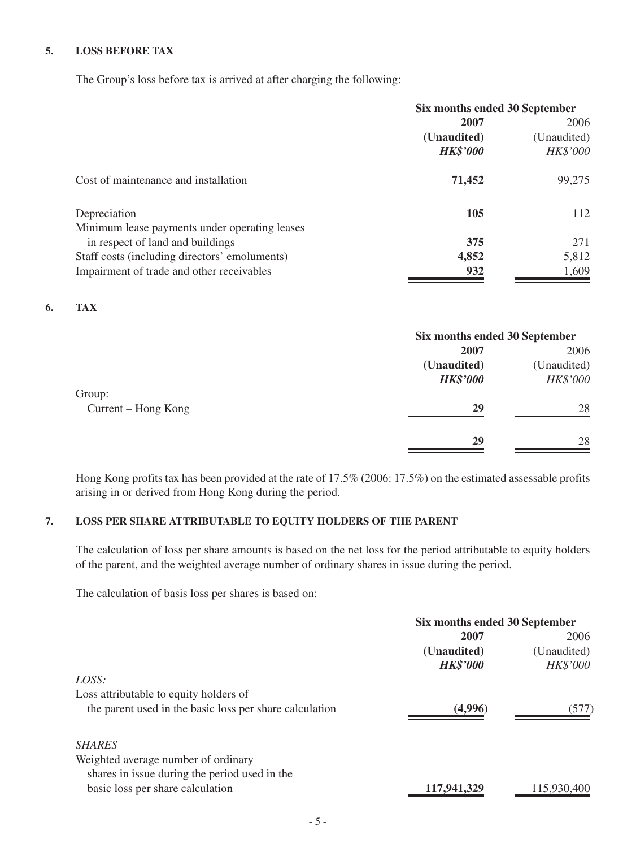#### **5. LOSS BEFORE TAX**

The Group's loss before tax is arrived at after charging the following:

|                                               | Six months ended 30 September |             |  |
|-----------------------------------------------|-------------------------------|-------------|--|
|                                               | 2007                          | 2006        |  |
|                                               | (Unaudited)                   | (Unaudited) |  |
|                                               | <b>HK\$'000</b>               | HK\$'000    |  |
| Cost of maintenance and installation          | 71,452                        | 99,275      |  |
| Depreciation                                  | 105                           | 112         |  |
| Minimum lease payments under operating leases |                               |             |  |
| in respect of land and buildings              | 375                           | 271         |  |
| Staff costs (including directors' emoluments) | 4,852                         | 5,812       |  |
| Impairment of trade and other receivables     | 932                           | 1,609       |  |

#### **6. TAX**

| Six months ended 30 September |             |
|-------------------------------|-------------|
| 2007                          | 2006        |
| (Unaudited)                   | (Unaudited) |
| <b>HK\$'000</b>               | HK\$'000    |
|                               |             |
| 29                            | 28          |
| 29                            | 28          |
|                               |             |

Hong Kong profits tax has been provided at the rate of 17.5% (2006: 17.5%) on the estimated assessable profits arising in or derived from Hong Kong during the period.

#### **7. LOSS PER SHARE ATTRIBUTABLE TO EQUITY HOLDERS OF THE PARENT**

The calculation of loss per share amounts is based on the net loss for the period attributable to equity holders of the parent, and the weighted average number of ordinary shares in issue during the period.

The calculation of basis loss per shares is based on:

| Six months ended 30 September |  |
|-------------------------------|--|
| 2006                          |  |
| (Unaudited)                   |  |
| HK\$'000                      |  |
|                               |  |
|                               |  |
| (577)                         |  |
|                               |  |
|                               |  |
|                               |  |
| 115,930,400                   |  |
|                               |  |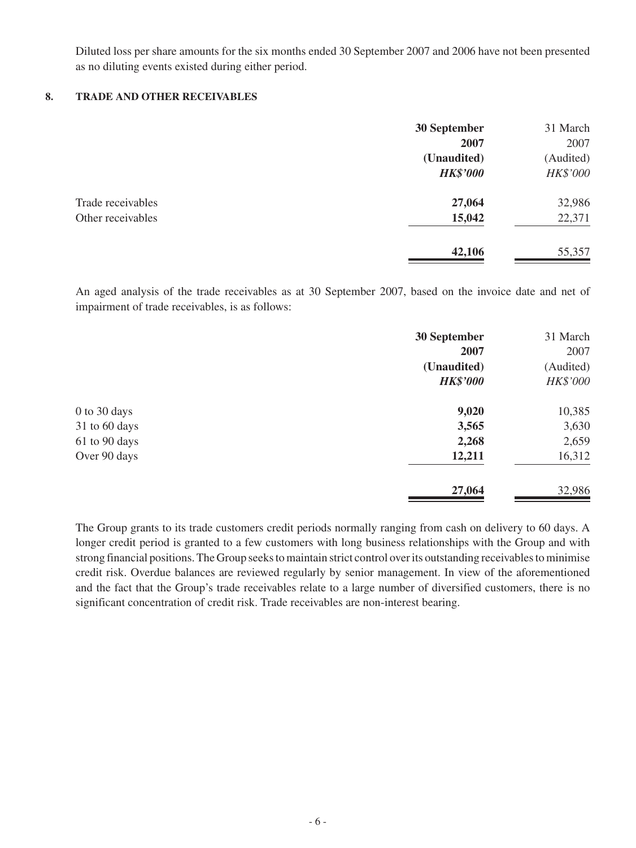Diluted loss per share amounts for the six months ended 30 September 2007 and 2006 have not been presented as no diluting events existed during either period.

#### **8. TRADE AND OTHER RECEIVABLES**

|                   | 30 September    | 31 March  |
|-------------------|-----------------|-----------|
|                   | 2007            | 2007      |
|                   | (Unaudited)     | (Audited) |
|                   | <b>HK\$'000</b> | HK\$'000  |
| Trade receivables | 27,064          | 32,986    |
| Other receivables | 15,042          | 22,371    |
|                   | 42,106          | 55,357    |

An aged analysis of the trade receivables as at 30 September 2007, based on the invoice date and net of impairment of trade receivables, is as follows:

|                 | 30 September    | 31 March  |
|-----------------|-----------------|-----------|
|                 | 2007            | 2007      |
|                 | (Unaudited)     | (Audited) |
|                 | <b>HK\$'000</b> | HK\$'000  |
| 0 to 30 days    | 9,020           | 10,385    |
| $31$ to 60 days | 3,565           | 3,630     |
| 61 to 90 days   | 2,268           | 2,659     |
| Over 90 days    | 12,211          | 16,312    |
|                 | 27,064          | 32,986    |

The Group grants to its trade customers credit periods normally ranging from cash on delivery to 60 days. A longer credit period is granted to a few customers with long business relationships with the Group and with strong financial positions. The Group seeks to maintain strict control over its outstanding receivables to minimise credit risk. Overdue balances are reviewed regularly by senior management. In view of the aforementioned and the fact that the Group's trade receivables relate to a large number of diversified customers, there is no significant concentration of credit risk. Trade receivables are non-interest bearing.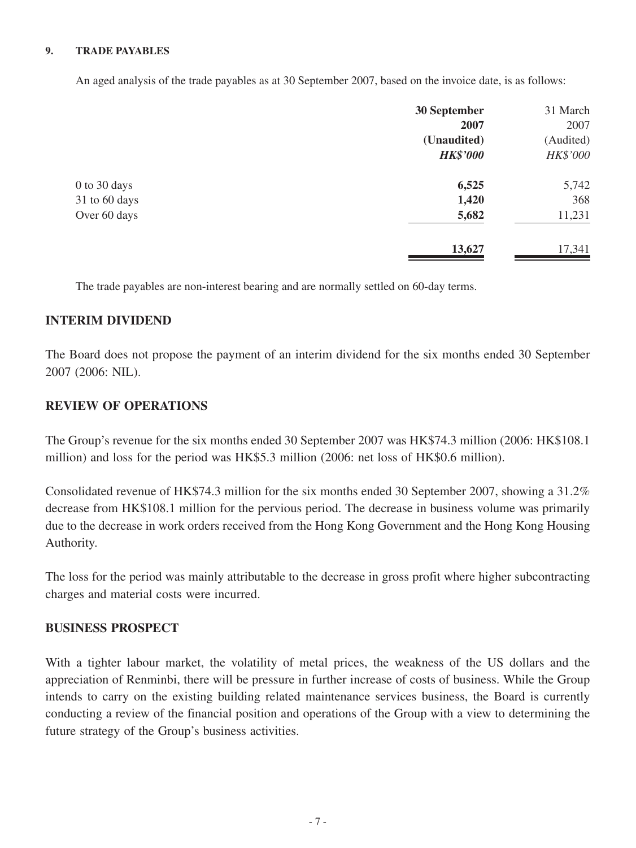#### **9. TRADE PAYABLES**

An aged analysis of the trade payables as at 30 September 2007, based on the invoice date, is as follows:

| 30 September    | 31 March  |
|-----------------|-----------|
| 2007            | 2007      |
| (Unaudited)     | (Audited) |
| <b>HK\$'000</b> | HK\$'000  |
| 6,525           | 5,742     |
| 1,420           | 368       |
| 5,682           | 11,231    |
| 13,627          | 17,341    |
|                 |           |

The trade payables are non-interest bearing and are normally settled on 60-day terms.

#### **INTERIM DIVIDEND**

The Board does not propose the payment of an interim dividend for the six months ended 30 September 2007 (2006: NIL).

#### **REVIEW OF OPERATIONS**

The Group's revenue for the six months ended 30 September 2007 was HK\$74.3 million (2006: HK\$108.1 million) and loss for the period was HK\$5.3 million (2006: net loss of HK\$0.6 million).

Consolidated revenue of HK\$74.3 million for the six months ended 30 September 2007, showing a 31.2% decrease from HK\$108.1 million for the pervious period. The decrease in business volume was primarily due to the decrease in work orders received from the Hong Kong Government and the Hong Kong Housing Authority.

The loss for the period was mainly attributable to the decrease in gross profit where higher subcontracting charges and material costs were incurred.

#### **BUSINESS PROSPECT**

With a tighter labour market, the volatility of metal prices, the weakness of the US dollars and the appreciation of Renminbi, there will be pressure in further increase of costs of business. While the Group intends to carry on the existing building related maintenance services business, the Board is currently conducting a review of the financial position and operations of the Group with a view to determining the future strategy of the Group's business activities.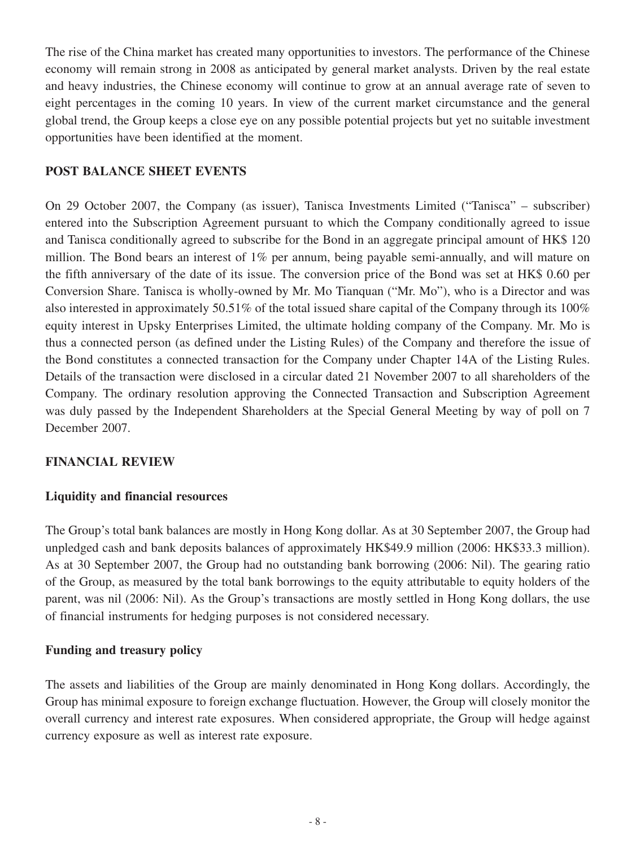The rise of the China market has created many opportunities to investors. The performance of the Chinese economy will remain strong in 2008 as anticipated by general market analysts. Driven by the real estate and heavy industries, the Chinese economy will continue to grow at an annual average rate of seven to eight percentages in the coming 10 years. In view of the current market circumstance and the general global trend, the Group keeps a close eye on any possible potential projects but yet no suitable investment opportunities have been identified at the moment.

### **POST BALANCE SHEET EVENTS**

On 29 October 2007, the Company (as issuer), Tanisca Investments Limited ("Tanisca" – subscriber) entered into the Subscription Agreement pursuant to which the Company conditionally agreed to issue and Tanisca conditionally agreed to subscribe for the Bond in an aggregate principal amount of HK\$ 120 million. The Bond bears an interest of 1% per annum, being payable semi-annually, and will mature on the fifth anniversary of the date of its issue. The conversion price of the Bond was set at HK\$ 0.60 per Conversion Share. Tanisca is wholly-owned by Mr. Mo Tianquan ("Mr. Mo"), who is a Director and was also interested in approximately 50.51% of the total issued share capital of the Company through its 100% equity interest in Upsky Enterprises Limited, the ultimate holding company of the Company. Mr. Mo is thus a connected person (as defined under the Listing Rules) of the Company and therefore the issue of the Bond constitutes a connected transaction for the Company under Chapter 14A of the Listing Rules. Details of the transaction were disclosed in a circular dated 21 November 2007 to all shareholders of the Company. The ordinary resolution approving the Connected Transaction and Subscription Agreement was duly passed by the Independent Shareholders at the Special General Meeting by way of poll on 7 December 2007.

## **FINANCIAL REVIEW**

## **Liquidity and financial resources**

The Group's total bank balances are mostly in Hong Kong dollar. As at 30 September 2007, the Group had unpledged cash and bank deposits balances of approximately HK\$49.9 million (2006: HK\$33.3 million). As at 30 September 2007, the Group had no outstanding bank borrowing (2006: Nil). The gearing ratio of the Group, as measured by the total bank borrowings to the equity attributable to equity holders of the parent, was nil (2006: Nil). As the Group's transactions are mostly settled in Hong Kong dollars, the use of financial instruments for hedging purposes is not considered necessary.

## **Funding and treasury policy**

The assets and liabilities of the Group are mainly denominated in Hong Kong dollars. Accordingly, the Group has minimal exposure to foreign exchange fluctuation. However, the Group will closely monitor the overall currency and interest rate exposures. When considered appropriate, the Group will hedge against currency exposure as well as interest rate exposure.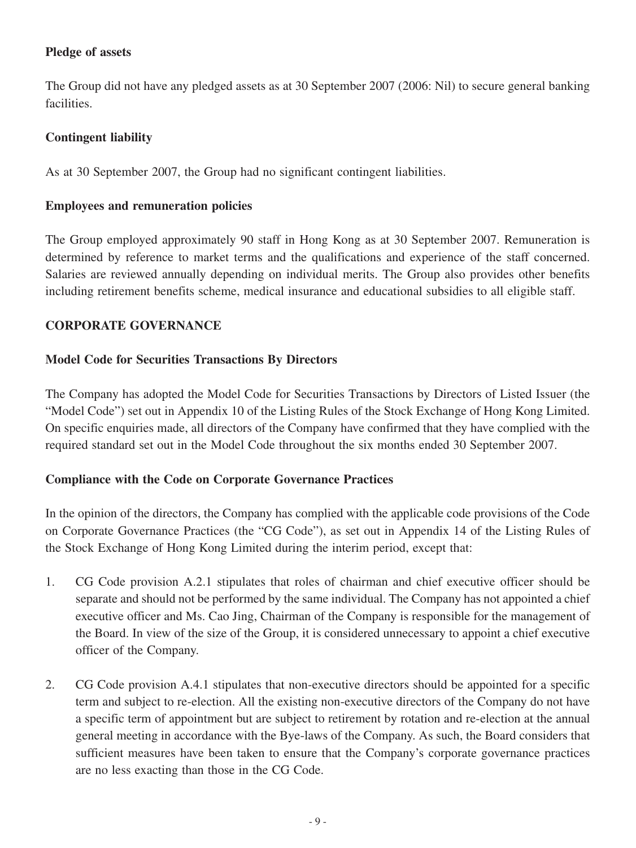## **Pledge of assets**

The Group did not have any pledged assets as at 30 September 2007 (2006: Nil) to secure general banking facilities.

## **Contingent liability**

As at 30 September 2007, the Group had no significant contingent liabilities.

## **Employees and remuneration policies**

The Group employed approximately 90 staff in Hong Kong as at 30 September 2007. Remuneration is determined by reference to market terms and the qualifications and experience of the staff concerned. Salaries are reviewed annually depending on individual merits. The Group also provides other benefits including retirement benefits scheme, medical insurance and educational subsidies to all eligible staff.

## **CORPORATE GOVERNANCE**

## **Model Code for Securities Transactions By Directors**

The Company has adopted the Model Code for Securities Transactions by Directors of Listed Issuer (the "Model Code") set out in Appendix 10 of the Listing Rules of the Stock Exchange of Hong Kong Limited. On specific enquiries made, all directors of the Company have confirmed that they have complied with the required standard set out in the Model Code throughout the six months ended 30 September 2007.

## **Compliance with the Code on Corporate Governance Practices**

In the opinion of the directors, the Company has complied with the applicable code provisions of the Code on Corporate Governance Practices (the "CG Code"), as set out in Appendix 14 of the Listing Rules of the Stock Exchange of Hong Kong Limited during the interim period, except that:

- 1. CG Code provision A.2.1 stipulates that roles of chairman and chief executive officer should be separate and should not be performed by the same individual. The Company has not appointed a chief executive officer and Ms. Cao Jing, Chairman of the Company is responsible for the management of the Board. In view of the size of the Group, it is considered unnecessary to appoint a chief executive officer of the Company.
- 2. CG Code provision A.4.1 stipulates that non-executive directors should be appointed for a specific term and subject to re-election. All the existing non-executive directors of the Company do not have a specific term of appointment but are subject to retirement by rotation and re-election at the annual general meeting in accordance with the Bye-laws of the Company. As such, the Board considers that sufficient measures have been taken to ensure that the Company's corporate governance practices are no less exacting than those in the CG Code.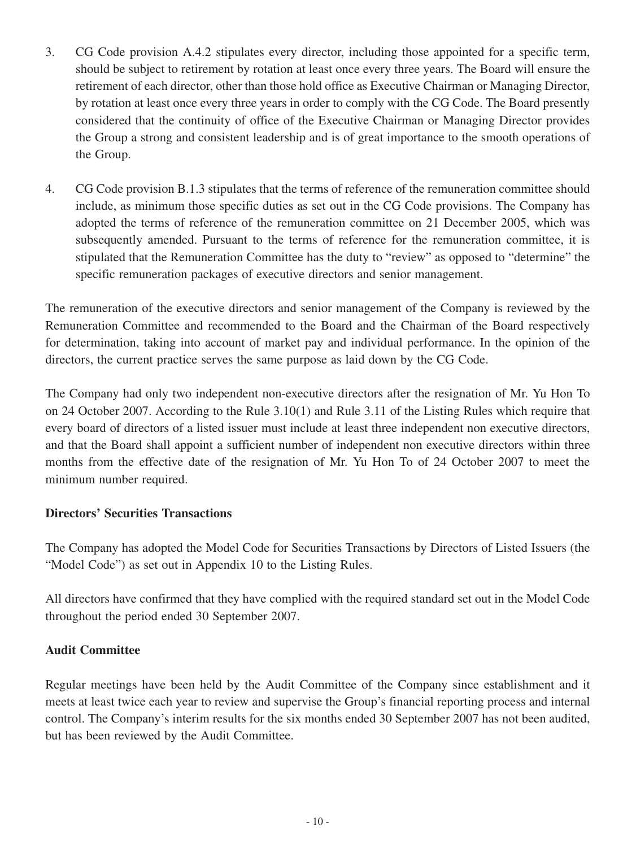- 3. CG Code provision A.4.2 stipulates every director, including those appointed for a specific term, should be subject to retirement by rotation at least once every three years. The Board will ensure the retirement of each director, other than those hold office as Executive Chairman or Managing Director, by rotation at least once every three years in order to comply with the CG Code. The Board presently considered that the continuity of office of the Executive Chairman or Managing Director provides the Group a strong and consistent leadership and is of great importance to the smooth operations of the Group.
- 4. CG Code provision B.1.3 stipulates that the terms of reference of the remuneration committee should include, as minimum those specific duties as set out in the CG Code provisions. The Company has adopted the terms of reference of the remuneration committee on 21 December 2005, which was subsequently amended. Pursuant to the terms of reference for the remuneration committee, it is stipulated that the Remuneration Committee has the duty to "review" as opposed to "determine" the specific remuneration packages of executive directors and senior management.

The remuneration of the executive directors and senior management of the Company is reviewed by the Remuneration Committee and recommended to the Board and the Chairman of the Board respectively for determination, taking into account of market pay and individual performance. In the opinion of the directors, the current practice serves the same purpose as laid down by the CG Code.

The Company had only two independent non-executive directors after the resignation of Mr. Yu Hon To on 24 October 2007. According to the Rule 3.10(1) and Rule 3.11 of the Listing Rules which require that every board of directors of a listed issuer must include at least three independent non executive directors, and that the Board shall appoint a sufficient number of independent non executive directors within three months from the effective date of the resignation of Mr. Yu Hon To of 24 October 2007 to meet the minimum number required.

## **Directors' Securities Transactions**

The Company has adopted the Model Code for Securities Transactions by Directors of Listed Issuers (the "Model Code") as set out in Appendix 10 to the Listing Rules.

All directors have confirmed that they have complied with the required standard set out in the Model Code throughout the period ended 30 September 2007.

## **Audit Committee**

Regular meetings have been held by the Audit Committee of the Company since establishment and it meets at least twice each year to review and supervise the Group's financial reporting process and internal control. The Company's interim results for the six months ended 30 September 2007 has not been audited, but has been reviewed by the Audit Committee.